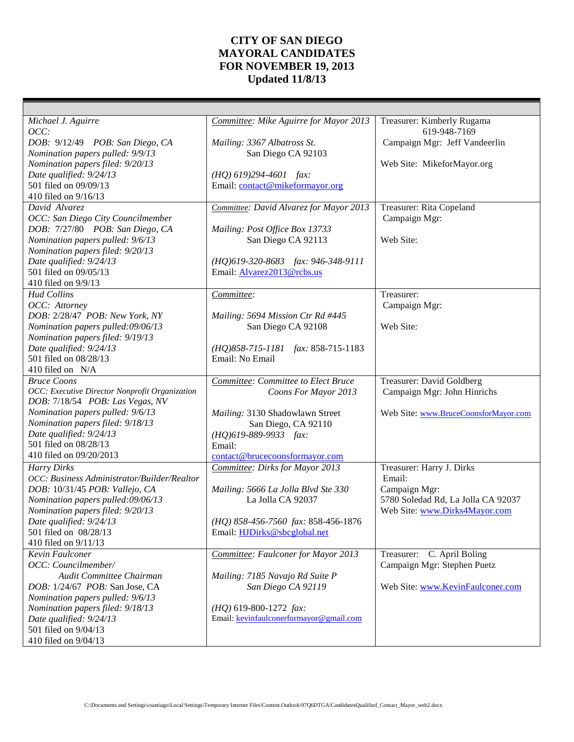## **CITY OF SAN DIEGO MAYORAL CANDIDATES FOR NOVEMBER 19, 2013 Updated 11/8/13**

| Michael J. Aguirre                                                                | Committee: Mike Aguirre for Mayor 2013       | Treasurer: Kimberly Rugama           |
|-----------------------------------------------------------------------------------|----------------------------------------------|--------------------------------------|
| OCC:                                                                              |                                              | 619-948-7169                         |
| DOB: 9/12/49 POB: San Diego, CA                                                   | Mailing: 3367 Albatross St.                  | Campaign Mgr: Jeff Vandeerlin        |
| Nomination papers pulled: 9/9/13                                                  | San Diego CA 92103                           |                                      |
| Nomination papers filed: 9/20/13                                                  |                                              | Web Site: MikeforMayor.org           |
| Date qualified: 9/24/13                                                           | $(HQ)$ 619)294-4601 fax:                     |                                      |
| 501 filed on 09/09/13                                                             | Email: contact@mikeformayor.org              |                                      |
| 410 filed on 9/16/13                                                              |                                              |                                      |
| David Alvarez                                                                     | Committee: David Alvarez for Mayor 2013      | Treasurer: Rita Copeland             |
| OCC: San Diego City Councilmember                                                 |                                              | Campaign Mgr:                        |
| DOB: 7/27/80 POB: San Diego, CA                                                   | Mailing: Post Office Box 13733               |                                      |
| Nomination papers pulled: 9/6/13                                                  | San Diego CA 92113                           | Web Site:                            |
| Nomination papers filed: 9/20/13                                                  |                                              |                                      |
| Date qualified: 9/24/13                                                           | (HQ)619-320-8683 fax: 946-348-9111           |                                      |
| 501 filed on 09/05/13                                                             | Email: Alvarez2013@rcbs.us                   |                                      |
| 410 filed on 9/9/13                                                               |                                              |                                      |
| <b>Hud Collins</b>                                                                | Committee:                                   | Treasurer:                           |
| OCC: Attorney                                                                     |                                              | Campaign Mgr:                        |
| DOB: 2/28/47 POB: New York, NY                                                    | Mailing: 5694 Mission Ctr Rd #445            |                                      |
| Nomination papers pulled:09/06/13                                                 | San Diego CA 92108                           | Web Site:                            |
| Nomination papers filed: 9/19/13                                                  |                                              |                                      |
| Date qualified: 9/24/13                                                           | (HQ)858-715-1181 fax: 858-715-1183           |                                      |
| 501 filed on 08/28/13                                                             | Email: No Email                              |                                      |
| 410 filed on N/A                                                                  |                                              |                                      |
| <b>Bruce Coons</b>                                                                | Committee: Committee to Elect Bruce          | Treasurer: David Goldberg            |
| OCC: Executive Director Nonprofit Organization<br>DOB: 7/18/54 POB: Las Vegas, NV | Coons For Mayor 2013                         | Campaign Mgr: John Hinrichs          |
| Nomination papers pulled: 9/6/13                                                  |                                              |                                      |
| Nomination papers filed: 9/18/13                                                  | Mailing: 3130 Shadowlawn Street              | Web Site: www.BruceCoonsforMayor.com |
| Date qualified: 9/24/13                                                           | San Diego, CA 92110<br>(HQ)619-889-9933 fax: |                                      |
| 501 filed on 08/28/13                                                             | Email:                                       |                                      |
| 410 filed on 09/20/2013                                                           | contact@brucecoonsformayor.com               |                                      |
| Harry Dirks                                                                       | Committee: Dirks for Mayor 2013              | Treasurer: Harry J. Dirks            |
| OCC: Business Administrator/Builder/Realtor                                       |                                              | Email:                               |
| DOB: 10/31/45 POB: Vallejo, CA                                                    | Mailing: 5666 La Jolla Blvd Ste 330          | Campaign Mgr:                        |
| Nomination papers pulled:09/06/13                                                 | La Jolla CA 92037                            | 5780 Soledad Rd, La Jolla CA 92037   |
| Nomination papers filed: 9/20/13                                                  |                                              | Web Site: www.Dirks4Mayor.com        |
| Date qualified: 9/24/13                                                           | (HQ) 858-456-7560 fax: 858-456-1876          |                                      |
| 501 filed on 08/28/13                                                             | Email: HJDirks@sbcglobal.net                 |                                      |
| 410 filed on 9/11/13                                                              |                                              |                                      |
| Kevin Faulconer                                                                   | Committee: Faulconer for Mayor 2013          | Treasurer: C. April Boling           |
| OCC: Councilmember/                                                               |                                              | Campaign Mgr: Stephen Puetz          |
| Audit Committee Chairman                                                          | Mailing: 7185 Navajo Rd Suite P              |                                      |
| DOB: 1/24/67 POB: San Jose, CA                                                    | San Diego CA 92119                           | Web Site: www.KevinFaulconer.com     |
| Nomination papers pulled: 9/6/13                                                  |                                              |                                      |
| Nomination papers filed: 9/18/13                                                  | (HQ) 619-800-1272 fax:                       |                                      |
| Date qualified: 9/24/13                                                           | Email: kevinfaulconerformayor@gmail.com      |                                      |
| 501 filed on 9/04/13                                                              |                                              |                                      |
| 410 filed on 9/04/13                                                              |                                              |                                      |